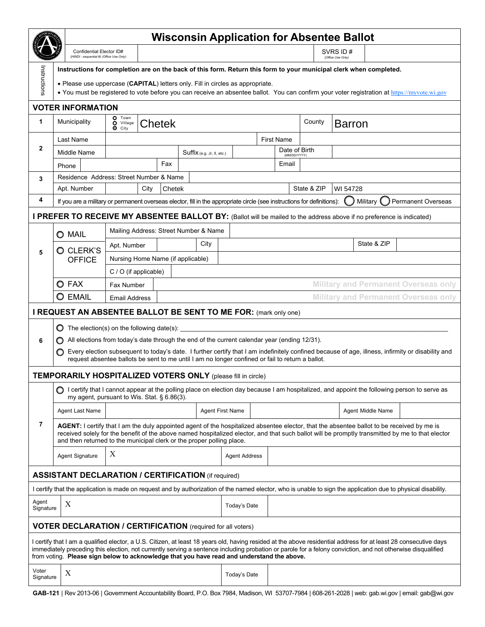|                                                                                                                                                                       |                                                                                                                                                                                                                                                                                                                                                                         | <b>Wisconsin Application for Absentee Ballot</b>                                                                                                                                                                                                                                                                                                      |                |  |                            |                               |                                              |       |             |               |             |                                                                                                                                                                  |  |  |  |
|-----------------------------------------------------------------------------------------------------------------------------------------------------------------------|-------------------------------------------------------------------------------------------------------------------------------------------------------------------------------------------------------------------------------------------------------------------------------------------------------------------------------------------------------------------------|-------------------------------------------------------------------------------------------------------------------------------------------------------------------------------------------------------------------------------------------------------------------------------------------------------------------------------------------------------|----------------|--|----------------------------|-------------------------------|----------------------------------------------|-------|-------------|---------------|-------------|------------------------------------------------------------------------------------------------------------------------------------------------------------------|--|--|--|
|                                                                                                                                                                       |                                                                                                                                                                                                                                                                                                                                                                         | Confidential Elector ID#<br>(HINDI - sequential #) (Office Use Only)                                                                                                                                                                                                                                                                                  |                |  |                            |                               | SVRS ID #<br>(Office Use Only)               |       |             |               |             |                                                                                                                                                                  |  |  |  |
|                                                                                                                                                                       |                                                                                                                                                                                                                                                                                                                                                                         | Instructions for completion are on the back of this form. Return this form to your municipal clerk when completed.                                                                                                                                                                                                                                    |                |  |                            |                               |                                              |       |             |               |             |                                                                                                                                                                  |  |  |  |
| Instructions                                                                                                                                                          |                                                                                                                                                                                                                                                                                                                                                                         | • Please use uppercase (CAPITAL) letters only. Fill in circles as appropriate.                                                                                                                                                                                                                                                                        |                |  |                            |                               |                                              |       |             |               |             |                                                                                                                                                                  |  |  |  |
|                                                                                                                                                                       |                                                                                                                                                                                                                                                                                                                                                                         | • You must be registered to vote before you can receive an absentee ballot. You can confirm your voter registration at https://myyote.wi.gov                                                                                                                                                                                                          |                |  |                            |                               |                                              |       |             |               |             |                                                                                                                                                                  |  |  |  |
|                                                                                                                                                                       | <b>VOTER INFORMATION</b>                                                                                                                                                                                                                                                                                                                                                |                                                                                                                                                                                                                                                                                                                                                       |                |  |                            |                               |                                              |       |             |               |             |                                                                                                                                                                  |  |  |  |
| 1                                                                                                                                                                     | Municipality                                                                                                                                                                                                                                                                                                                                                            | O Town<br>O Village<br>$\bullet$ City                                                                                                                                                                                                                                                                                                                 | Chetek         |  |                            |                               |                                              |       | County      | <b>Barron</b> |             |                                                                                                                                                                  |  |  |  |
| $\mathbf{2}$                                                                                                                                                          | Last Name                                                                                                                                                                                                                                                                                                                                                               |                                                                                                                                                                                                                                                                                                                                                       |                |  |                            | <b>First Name</b>             |                                              |       |             |               |             |                                                                                                                                                                  |  |  |  |
|                                                                                                                                                                       | Middle Name                                                                                                                                                                                                                                                                                                                                                             |                                                                                                                                                                                                                                                                                                                                                       |                |  | Suffix (e.g. Jr, II, etc.) | Date of Birth<br>(MM/DD/YYYY) |                                              |       |             |               |             |                                                                                                                                                                  |  |  |  |
|                                                                                                                                                                       | Phone                                                                                                                                                                                                                                                                                                                                                                   |                                                                                                                                                                                                                                                                                                                                                       | Fax            |  |                            |                               |                                              | Email |             |               |             |                                                                                                                                                                  |  |  |  |
| 3                                                                                                                                                                     | Residence Address: Street Number & Name                                                                                                                                                                                                                                                                                                                                 |                                                                                                                                                                                                                                                                                                                                                       |                |  |                            |                               |                                              |       |             |               |             |                                                                                                                                                                  |  |  |  |
|                                                                                                                                                                       | Apt. Number                                                                                                                                                                                                                                                                                                                                                             |                                                                                                                                                                                                                                                                                                                                                       | City<br>Chetek |  |                            |                               |                                              |       | State & ZIP | WI 54728      |             |                                                                                                                                                                  |  |  |  |
| 4<br><b>Permanent Overseas</b><br>If you are a military or permanent overseas elector, fill in the appropriate circle (see instructions for definitions):<br>Military |                                                                                                                                                                                                                                                                                                                                                                         |                                                                                                                                                                                                                                                                                                                                                       |                |  |                            |                               |                                              |       |             |               |             |                                                                                                                                                                  |  |  |  |
|                                                                                                                                                                       | I PREFER TO RECEIVE MY ABSENTEE BALLOT BY: (Ballot will be mailed to the address above if no preference is indicated)                                                                                                                                                                                                                                                   |                                                                                                                                                                                                                                                                                                                                                       |                |  |                            |                               |                                              |       |             |               |             |                                                                                                                                                                  |  |  |  |
|                                                                                                                                                                       | O MAIL                                                                                                                                                                                                                                                                                                                                                                  | Mailing Address: Street Number & Name                                                                                                                                                                                                                                                                                                                 |                |  |                            |                               |                                              |       |             |               |             |                                                                                                                                                                  |  |  |  |
|                                                                                                                                                                       | O CLERK'S<br><b>OFFICE</b>                                                                                                                                                                                                                                                                                                                                              | Apt. Number                                                                                                                                                                                                                                                                                                                                           |                |  | City                       |                               |                                              |       |             |               | State & ZIP |                                                                                                                                                                  |  |  |  |
| 5                                                                                                                                                                     |                                                                                                                                                                                                                                                                                                                                                                         | Nursing Home Name (if applicable)                                                                                                                                                                                                                                                                                                                     |                |  |                            |                               |                                              |       |             |               |             |                                                                                                                                                                  |  |  |  |
|                                                                                                                                                                       |                                                                                                                                                                                                                                                                                                                                                                         | $C / O$ (if applicable)                                                                                                                                                                                                                                                                                                                               |                |  |                            |                               |                                              |       |             |               |             |                                                                                                                                                                  |  |  |  |
|                                                                                                                                                                       | O FAX                                                                                                                                                                                                                                                                                                                                                                   | <b>Military and Permanent Overseas only</b><br>Fax Number                                                                                                                                                                                                                                                                                             |                |  |                            |                               |                                              |       |             |               |             |                                                                                                                                                                  |  |  |  |
|                                                                                                                                                                       | <b>O</b> EMAIL<br><b>Military and Permanent Overseas only</b><br><b>Email Address</b>                                                                                                                                                                                                                                                                                   |                                                                                                                                                                                                                                                                                                                                                       |                |  |                            |                               |                                              |       |             |               |             |                                                                                                                                                                  |  |  |  |
| I REQUEST AN ABSENTEE BALLOT BE SENT TO ME FOR: (mark only one)                                                                                                       |                                                                                                                                                                                                                                                                                                                                                                         |                                                                                                                                                                                                                                                                                                                                                       |                |  |                            |                               |                                              |       |             |               |             |                                                                                                                                                                  |  |  |  |
|                                                                                                                                                                       | $\bigcirc$ The election(s) on the following date(s):                                                                                                                                                                                                                                                                                                                    |                                                                                                                                                                                                                                                                                                                                                       |                |  |                            |                               |                                              |       |             |               |             |                                                                                                                                                                  |  |  |  |
| 6                                                                                                                                                                     |                                                                                                                                                                                                                                                                                                                                                                         |                                                                                                                                                                                                                                                                                                                                                       |                |  |                            |                               |                                              |       |             |               |             |                                                                                                                                                                  |  |  |  |
|                                                                                                                                                                       |                                                                                                                                                                                                                                                                                                                                                                         | All elections from today's date through the end of the current calendar year (ending 12/31).<br>Every election subsequent to today's date. I further certify that I am indefinitely confined because of age, illness, infirmity or disability and<br>request absentee ballots be sent to me until I am no longer confined or fail to return a ballot. |                |  |                            |                               |                                              |       |             |               |             |                                                                                                                                                                  |  |  |  |
|                                                                                                                                                                       |                                                                                                                                                                                                                                                                                                                                                                         |                                                                                                                                                                                                                                                                                                                                                       |                |  |                            |                               |                                              |       |             |               |             |                                                                                                                                                                  |  |  |  |
| 7                                                                                                                                                                     |                                                                                                                                                                                                                                                                                                                                                                         | <b>TEMPORARILY HOSPITALIZED VOTERS ONLY (please fill in circle)</b><br>◯ I certify that I cannot appear at the polling place on election day because I am hospitalized, and appoint the following person to serve as<br>my agent, pursuant to Wis. Stat. § 6.86(3).                                                                                   |                |  |                            |                               |                                              |       |             |               |             |                                                                                                                                                                  |  |  |  |
|                                                                                                                                                                       | Agent Last Name                                                                                                                                                                                                                                                                                                                                                         |                                                                                                                                                                                                                                                                                                                                                       |                |  |                            |                               | <b>Agent First Name</b><br>Agent Middle Name |       |             |               |             |                                                                                                                                                                  |  |  |  |
|                                                                                                                                                                       | AGENT: I certify that I am the duly appointed agent of the hospitalized absentee elector, that the absentee ballot to be received by me is<br>received solely for the benefit of the above named hospitalized elector, and that such ballot will be promptly transmitted by me to that elector<br>and then returned to the municipal clerk or the proper polling place. |                                                                                                                                                                                                                                                                                                                                                       |                |  |                            |                               |                                              |       |             |               |             |                                                                                                                                                                  |  |  |  |
|                                                                                                                                                                       | Agent Signature                                                                                                                                                                                                                                                                                                                                                         | Χ                                                                                                                                                                                                                                                                                                                                                     |                |  |                            | <b>Agent Address</b>          |                                              |       |             |               |             |                                                                                                                                                                  |  |  |  |
|                                                                                                                                                                       | <b>ASSISTANT DECLARATION / CERTIFICATION (if required)</b>                                                                                                                                                                                                                                                                                                              |                                                                                                                                                                                                                                                                                                                                                       |                |  |                            |                               |                                              |       |             |               |             |                                                                                                                                                                  |  |  |  |
|                                                                                                                                                                       |                                                                                                                                                                                                                                                                                                                                                                         |                                                                                                                                                                                                                                                                                                                                                       |                |  |                            |                               |                                              |       |             |               |             | I certify that the application is made on request and by authorization of the named elector, who is unable to sign the application due to physical disability.   |  |  |  |
| Agent<br>Signature                                                                                                                                                    | X                                                                                                                                                                                                                                                                                                                                                                       |                                                                                                                                                                                                                                                                                                                                                       |                |  |                            | Today's Date                  |                                              |       |             |               |             |                                                                                                                                                                  |  |  |  |
|                                                                                                                                                                       | <b>VOTER DECLARATION / CERTIFICATION</b> (required for all voters)                                                                                                                                                                                                                                                                                                      |                                                                                                                                                                                                                                                                                                                                                       |                |  |                            |                               |                                              |       |             |               |             |                                                                                                                                                                  |  |  |  |
|                                                                                                                                                                       | immediately preceding this election, not currently serving a sentence including probation or parole for a felony conviction, and not otherwise disqualified<br>from voting. Please sign below to acknowledge that you have read and understand the above.                                                                                                               |                                                                                                                                                                                                                                                                                                                                                       |                |  |                            |                               |                                              |       |             |               |             | I certify that I am a qualified elector, a U.S. Citizen, at least 18 years old, having resided at the above residential address for at least 28 consecutive days |  |  |  |
| Voter<br>Signature                                                                                                                                                    | X                                                                                                                                                                                                                                                                                                                                                                       |                                                                                                                                                                                                                                                                                                                                                       |                |  |                            | Today's Date                  |                                              |       |             |               |             |                                                                                                                                                                  |  |  |  |
|                                                                                                                                                                       |                                                                                                                                                                                                                                                                                                                                                                         |                                                                                                                                                                                                                                                                                                                                                       |                |  |                            |                               |                                              |       |             |               |             | GAB-121   Rev 2013-06   Government Accountability Board, P.O. Box 7984, Madison, WI 53707-7984   608-261-2028   web: gab.wi.gov   email: gab@wi.gov              |  |  |  |